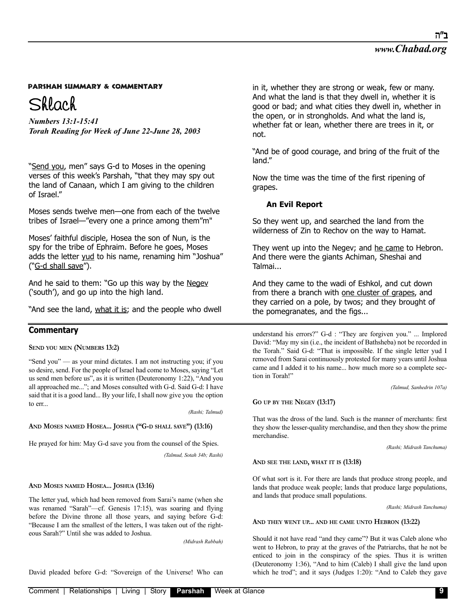Shlach

*Numbers 13:1-15:41 Torah Reading for Week of June 22-June 28, 2003*

"Send you, men" says G-d to Moses in the opening verses of this week's Parshah, "that they may spy out the land of Canaan, which I am giving to the children of Israel."

Moses sends twelve men—one from each of the twelve tribes of Israel—"every one a prince among them"m"

Moses' faithful disciple, Hosea the son of Nun, is the spy for the tribe of Ephraim. Before he goes, Moses adds the letter yud to his name, renaming him "Joshua" ("G-d shall save").

And he said to them: "Go up this way by the Negev ('south'), and go up into the high land.

"And see the land, what it is; and the people who dwell

# **Commentary**

**SEND YOU MEN (NUMBERS 13:2)** 

"Send you" — as your mind dictates. I am not instructing you; if you so desire, send. For the people of Israel had come to Moses, saying "Let us send men before us", as it is written (Deuteronomy 1:22), "And you all approached me..."; and Moses consulted with G-d. Said G-d: I have said that it is a good land... By your life, I shall now give you the option to err.

*(Rashi; Talmud)*

### **AND MOSES NAMED HOSEA... JOSHUA ("G-D SHALL SAVE") (13:16)**

He prayed for him: May G-d save you from the counsel of the Spies.

*(Talmud, Sotah 34b; Rashi)*

### **AND MOSES NAMED HOSEA... JOSHUA (13:16)**

The letter yud, which had been removed from Sarai's name (when she was renamed "Sarah"—cf. Genesis 17:15), was soaring and flying before the Divine throne all those years, and saying before G-d: "Because I am the smallest of the letters, I was taken out of the righteous Sarah?" Until she was added to Joshua.

*(Midrash Rabbah)*

David pleaded before G-d: "Sovereign of the Universe! Who can

in it, whether they are strong or weak, few or many. And what the land is that they dwell in, whether it is good or bad; and what cities they dwell in, whether in the open, or in strongholds. And what the land is, whether fat or lean, whether there are trees in it, or not.

"And be of good courage, and bring of the fruit of the land."

Now the time was the time of the first ripening of grapes.

### **An Evil Report**

So they went up, and searched the land from the wilderness of Zin to Rechov on the way to Hamat.

They went up into the Negev; and he came to Hebron. And there were the giants Achiman, Sheshai and Talmai...

And they came to the wadi of Eshkol, and cut down from there a branch with one cluster of grapes, and they carried on a pole, by twos; and they brought of the pomegranates, and the figs...

understand his errors?" G-d : "They are forgiven you." ... Implored David: "May my sin (i.e., the incident of Bathsheba) not be recorded in the Torah." Said G-d: "That is impossible. If the single letter yud I removed from Sarai continuously protested for many years until Joshua came and I added it to his name... how much more so a complete section in Torah!"

*(Talmud, Sanhedrin 107a)*

**GO UP BY THE NEGEV (13:17)**

That was the dross of the land. Such is the manner of merchants: first they show the lesser-quality merchandise, and then they show the prime merchandise.

*(Rashi; Midrash Tanchuma)*

**AND SEE THE LAND, WHAT IT IS (13:18)**

Of what sort is it. For there are lands that produce strong people, and lands that produce weak people; lands that produce large populations, and lands that produce small populations.

*(Rashi; Midrash Tanchuma)*

**AND THEY WENT UP... AND HE CAME UNTO HEBRON (13:22)**

Should it not have read "and they came"? But it was Caleb alone who went to Hebron, to pray at the graves of the Patriarchs, that he not be enticed to join in the conspiracy of the spies. Thus it is written (Deuteronomy 1:36), "And to him (Caleb) I shall give the land upon which he trod"; and it says (Judges 1:20): "And to Caleb they gave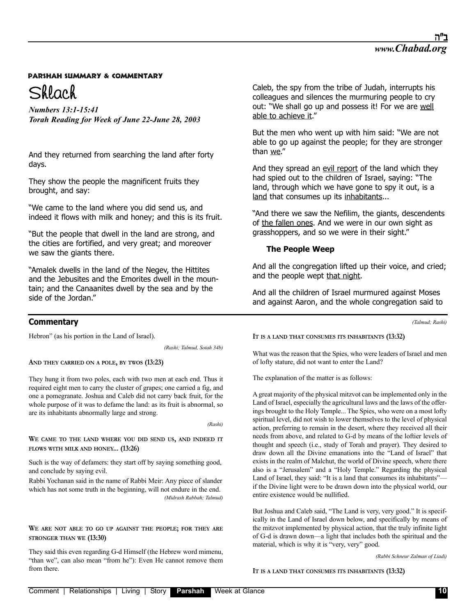

*Numbers 13:1-15:41 Torah Reading for Week of June 22-June 28, 2003*

And they returned from searching the land after forty days.

They show the people the magnificent fruits they brought, and say:

"We came to the land where you did send us, and indeed it flows with milk and honey; and this is its fruit.

"But the people that dwell in the land are strong, and the cities are fortified, and very great; and moreover we saw the giants there.

"Amalek dwells in the land of the Negev, the Hittites and the Jebusites and the Emorites dwell in the mountain; and the Canaanites dwell by the sea and by the side of the Jordan."

# **Commentary**

Hebron" (as his portion in the Land of Israel).

*(Rashi; Talmud, Sotah 34b)*

**AND THEY CARRIED ON A POLE, BY TWOS (13:23)**

They hung it from two poles, each with two men at each end. Thus it required eight men to carry the cluster of grapes; one carried a fig, and one a pomegranate. Joshua and Caleb did not carry back fruit, for the whole purpose of it was to defame the land: as its fruit is abnormal, so are its inhabitants abnormally large and strong.

*(Rashi)*

**WE CAME TO THE LAND WHERE YOU DID SEND US, AND INDEED IT FLOWS WITH MILK AND HONEY... (13:26)**

Such is the way of defamers: they start off by saying something good, and conclude by saying evil.

Rabbi Yochanan said in the name of Rabbi Meir: Any piece of slander which has not some truth in the beginning, will not endure in the end. *(Midrash Rabbah; Talmud)*

**WE ARE NOT ABLE TO GO UP AGAINST THE PEOPLE; FOR THEY ARE STRONGER THAN WE (13:30)**

They said this even regarding G-d Himself (the Hebrew word mimenu, "than we", can also mean "from he"): Even He cannot remove them from there.

Caleb, the spy from the tribe of Judah, interrupts his colleagues and silences the murmuring people to cry out: "We shall go up and possess it! For we are well able to achieve it."

But the men who went up with him said: "We are not able to go up against the people; for they are stronger than we."

And they spread an evil report of the land which they had spied out to the children of Israel, saying: "The land, through which we have gone to spy it out, is a land that consumes up its inhabitants...

"And there we saw the Nefilim, the giants, descendents of the fallen ones. And we were in our own sight as grasshoppers, and so we were in their sight."

## **The People Weep**

And all the congregation lifted up their voice, and cried; and the people wept that night.

And all the children of Israel murmured against Moses and against Aaron, and the whole congregation said to

*(Talmud; Rashi)*

### **IT IS A LAND THAT CONSUMES ITS INHABITANTS (13:32)**

What was the reason that the Spies, who were leaders of Israel and men of lofty stature, did not want to enter the Land?

The explanation of the matter is as follows:

A great majority of the physical mitzvot can be implemented only in the Land of Israel, especially the agricultural laws and the laws of the offerings brought to the Holy Temple... The Spies, who were on a most lofty spiritual level, did not wish to lower themselves to the level of physical action, preferring to remain in the desert, where they received all their needs from above, and related to G-d by means of the loftier levels of thought and speech (i.e., study of Torah and prayer). They desired to draw down all the Divine emanations into the "Land of Israel" that exists in the realm of Malchut, the world of Divine speech, where there also is a "Jerusalem" and a "Holy Temple." Regarding the physical Land of Israel, they said: "It is a land that consumes its inhabitants" if the Divine light were to be drawn down into the physical world, our entire existence would be nullified.

But Joshua and Caleb said, "The Land is very, very good." It is specifically in the Land of Israel down below, and specifically by means of the mitzvot implemented by physical action, that the truly infinite light of G-d is drawn down—a light that includes both the spiritual and the material, which is why it is "very, very" good.

*(Rabbi Schneur Zalman of Liadi)*

### **IT IS A LAND THAT CONSUMES ITS INHABITANTS (13:32)**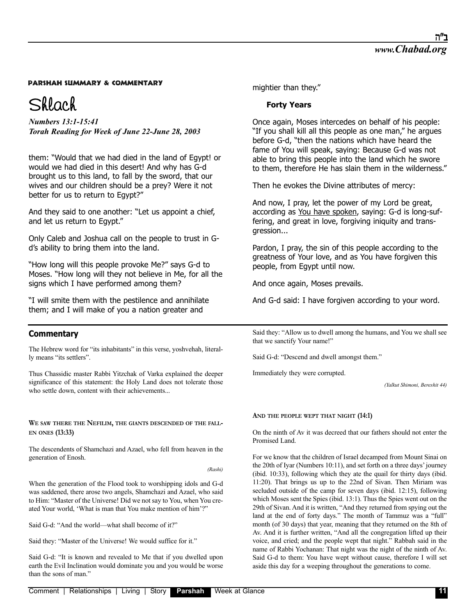# Shlach

*Numbers 13:1-15:41 Torah Reading for Week of June 22-June 28, 2003*

them: "Would that we had died in the land of Egypt! or would we had died in this desert! And why has G-d brought us to this land, to fall by the sword, that our wives and our children should be a prey? Were it not better for us to return to Egypt?"

And they said to one another: "Let us appoint a chief, and let us return to Egypt."

Only Caleb and Joshua call on the people to trust in Gd's ability to bring them into the land.

"How long will this people provoke Me?" says G-d to Moses. "How long will they not believe in Me, for all the signs which I have performed among them?

"I will smite them with the pestilence and annihilate them; and I will make of you a nation greater and

# **Commentary**

The Hebrew word for "its inhabitants" in this verse, yoshvehah, literally means "its settlers".

Thus Chassidic master Rabbi Yitzchak of Varka explained the deeper significance of this statement: the Holy Land does not tolerate those who settle down, content with their achievements...

**WE SAW THERE THE NEFILIM, THE GIANTS DESCENDED OF THE FALL-EN ONES (13:33)**

The descendents of Shamchazi and Azael, who fell from heaven in the generation of Enosh.

*(Rashi)*

When the generation of the Flood took to worshipping idols and G-d was saddened, there arose two angels, Shamchazi and Azael, who said to Him: "Master of the Universe! Did we not say to You, when You created Your world, 'What is man that You make mention of him'?"

Said G-d: "And the world—what shall become of it?"

Said they: "Master of the Universe! We would suffice for it."

Said G-d: "It is known and revealed to Me that if you dwelled upon earth the Evil Inclination would dominate you and you would be worse than the sons of man."

mightier than they."

## **Forty Years**

Once again, Moses intercedes on behalf of his people: "If you shall kill all this people as one man," he argues before G-d, "then the nations which have heard the fame of You will speak, saying: Because G-d was not able to bring this people into the land which he swore to them, therefore He has slain them in the wilderness."

Then he evokes the Divine attributes of mercy:

And now, I pray, let the power of my Lord be great, according as You have spoken, saying: G-d is long-suffering, and great in love, forgiving iniquity and transgression...

Pardon, I pray, the sin of this people according to the greatness of Your love, and as You have forgiven this people, from Egypt until now.

And once again, Moses prevails.

And G-d said: I have forgiven according to your word.

Said they: "Allow us to dwell among the humans, and You we shall see that we sanctify Your name!"

Said G-d: "Descend and dwell amongst them."

Immediately they were corrupted.

*(Yalkut Shimoni, Bereshit 44)*

### **AND THE PEOPLE WEPT THAT NIGHT (14:1)**

On the ninth of Av it was decreed that our fathers should not enter the Promised Land.

For we know that the children of Israel decamped from Mount Sinai on the 20th of Iyar (Numbers 10:11), and set forth on a three days' journey (ibid. 10:33), following which they ate the quail for thirty days (ibid. 11:20). That brings us up to the 22nd of Sivan. Then Miriam was secluded outside of the camp for seven days (ibid. 12:15), following which Moses sent the Spies (ibid. 13:1). Thus the Spies went out on the 29th of Sivan. And it is written, "And they returned from spying out the land at the end of forty days." The month of Tammuz was a "full" month (of 30 days) that year, meaning that they returned on the 8th of Av. And it is further written, "And all the congregation lifted up their voice, and cried; and the people wept that night." Rabbah said in the name of Rabbi Yochanan: That night was the night of the ninth of Av. Said G-d to them: You have wept without cause, therefore I will set aside this day for a weeping throughout the generations to come.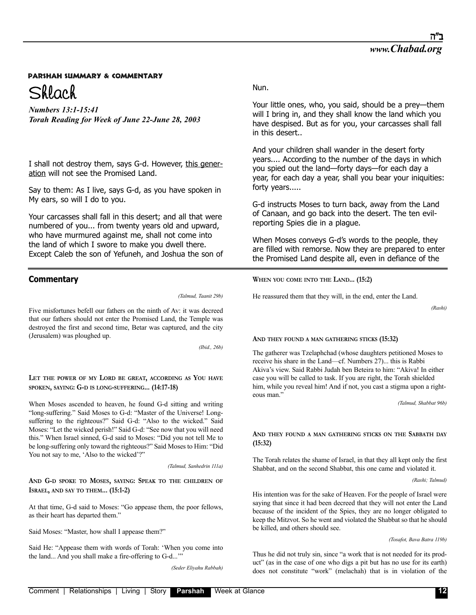

*Numbers 13:1-15:41 Torah Reading for Week of June 22-June 28, 2003*

I shall not destroy them, says G-d. However, this generation will not see the Promised Land.

Say to them: As I live, says G-d, as you have spoken in My ears, so will I do to you.

Your carcasses shall fall in this desert; and all that were numbered of you... from twenty years old and upward, who have murmured against me, shall not come into the land of which I swore to make you dwell there. Except Caleb the son of Yefuneh, and Joshua the son of

# **Commentary**

*(Talmud, Taanit 29b)*

Five misfortunes befell our fathers on the ninth of Av: it was decreed that our fathers should not enter the Promised Land, the Temple was destroyed the first and second time, Betar was captured, and the city (Jerusalem) was ploughed up.

*(Ibid., 26b)*

**LET THE POWER OF MY LORD BE GREAT, ACCORDING AS YOU HAVE SPOKEN, SAYING: G-D IS LONG-SUFFERING... (14:17-18)**

When Moses ascended to heaven, he found G-d sitting and writing "long-suffering." Said Moses to G-d: "Master of the Universe! Longsuffering to the righteous?" Said G-d: "Also to the wicked." Said Moses: "Let the wicked perish!" Said G-d: "See now that you will need this." When Israel sinned, G-d said to Moses: "Did you not tell Me to be long-suffering only toward the righteous?" Said Moses to Him: "Did You not say to me, 'Also to the wicked'?"

*(Talmud, Sanhedrin 111a)*

**AND G-D SPOKE TO MOSES, SAYING: SPEAK TO THE CHILDREN OF ISRAEL, AND SAY TO THEM... (15:1-2)**

At that time, G-d said to Moses: "Go appease them, the poor fellows, as their heart has departed them."

Said Moses: "Master, how shall I appease them?"

Said He: "Appease them with words of Torah: 'When you come into the land... And you shall make a fire-offering to G-d...'"

*(Seder Eliyahu Rabbah)*

Your little ones, who, you said, should be a prey—them will I bring in, and they shall know the land which you have despised. But as for you, your carcasses shall fall in this desert..

And your children shall wander in the desert forty years.... According to the number of the days in which you spied out the land—forty days—for each day a year, for each day a year, shall you bear your iniquities: forty years.....

G-d instructs Moses to turn back, away from the Land of Canaan, and go back into the desert. The ten evilreporting Spies die in a plague.

When Moses conveys G-d's words to the people, they are filled with remorse. Now they are prepared to enter the Promised Land despite all, even in defiance of the

**WHEN YOU COME INTO THE LAND... (15:2)**

He reassured them that they will, in the end, enter the Land.

*(Rashi)*

### **AND THEY FOUND A MAN GATHERING STICKS (15:32)**

The gatherer was Tzelaphchad (whose daughters petitioned Moses to receive his share in the Land—cf. Numbers 27)... this is Rabbi Akiva's view. Said Rabbi Judah ben Beteira to him: "Akiva! In either case you will be called to task. If you are right, the Torah shielded him, while you reveal him! And if not, you cast a stigma upon a righteous man."

*(Talmud, Shabbat 96b)*

### **AND THEY FOUND A MAN GATHERING STICKS ON THE SABBATH DAY (15:32)**

The Torah relates the shame of Israel, in that they all kept only the first Shabbat, and on the second Shabbat, this one came and violated it.

*(Rashi; Talmud)*

His intention was for the sake of Heaven. For the people of Israel were saying that since it had been decreed that they will not enter the Land because of the incident of the Spies, they are no longer obligated to keep the Mitzvot. So he went and violated the Shabbat so that he should be killed, and others should see.

#### *(Tosafot, Bava Batra 119b)*

Thus he did not truly sin, since "a work that is not needed for its product" (as in the case of one who digs a pit but has no use for its earth) does not constitute "work" (melachah) that is in violation of the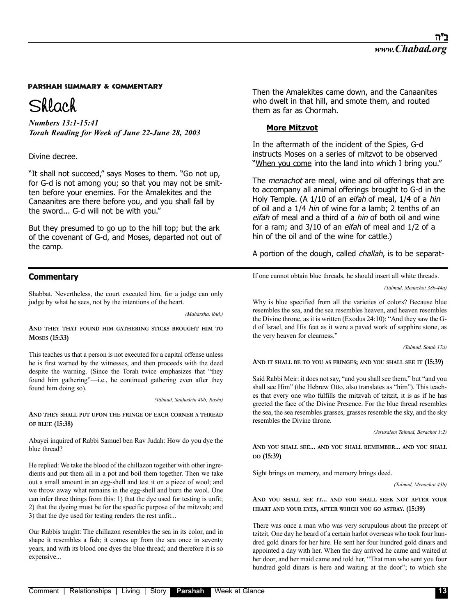# Shlach

*Numbers 13:1-15:41 Torah Reading for Week of June 22-June 28, 2003*

## Divine decree.

"It shall not succeed," says Moses to them. "Go not up, for G-d is not among you; so that you may not be smitten before your enemies. For the Amalekites and the Canaanites are there before you, and you shall fall by the sword... G-d will not be with you."

But they presumed to go up to the hill top; but the ark of the covenant of G-d, and Moses, departed not out of the camp.

# **Commentary**

Shabbat. Nevertheless, the court executed him, for a judge can only judge by what he sees, not by the intentions of the heart.

*(Maharsha, ibid.)*

### **AND THEY THAT FOUND HIM GATHERING STICKS BROUGHT HIM TO MOSES (15:33)**

This teaches us that a person is not executed for a capital offense unless he is first warned by the witnesses, and then proceeds with the deed despite the warning. (Since the Torah twice emphasizes that "they found him gathering"—i.e., he continued gathering even after they found him doing so).

*(Talmud, Sanhedrin 40b; Rashi)*

**AND THEY SHALL PUT UPON THE FRINGE OF EACH CORNER A THREAD OF BLUE (15:38)**

Abayei inquired of Rabbi Samuel ben Rav Judah: How do you dye the blue thread?

He replied: We take the blood of the chillazon together with other ingredients and put them all in a pot and boil them together. Then we take out a small amount in an egg-shell and test it on a piece of wool; and we throw away what remains in the egg-shell and burn the wool. One can infer three things from this: 1) that the dye used for testing is unfit; 2) that the dyeing must be for the specific purpose of the mitzvah; and 3) that the dye used for testing renders the rest unfit...

Our Rabbis taught: The chillazon resembles the sea in its color, and in shape it resembles a fish; it comes up from the sea once in seventy years, and with its blood one dyes the blue thread; and therefore it is so expensive...

Then the Amalekites came down, and the Canaanites who dwelt in that hill, and smote them, and routed them as far as Chormah.

## **More Mitzvot**

In the aftermath of the incident of the Spies, G-d instructs Moses on a series of mitzvot to be observed "When you come into the land into which I bring you."

The *menachot* are meal, wine and oil offerings that are to accompany all animal offerings brought to G-d in the Holy Temple. (A 1/10 of an eifah of meal, 1/4 of a hin of oil and a 1/4 hin of wine for a lamb; 2 tenths of an eifah of meal and a third of a hin of both oil and wine for a ram; and 3/10 of an eifah of meal and 1/2 of a hin of the oil and of the wine for cattle.)

A portion of the dough, called challah, is to be separat-

If one cannot obtain blue threads, he should insert all white threads.

*(Talmud, Menachot 38b-44a)*

Why is blue specified from all the varieties of colors? Because blue resembles the sea, and the sea resembles heaven, and heaven resembles the Divine throne, as it is written (Exodus 24:10): "And they saw the Gd of Israel, and His feet as it were a paved work of sapphire stone, as the very heaven for clearness."

*(Talmud, Sotah 17a)*

**AND IT SHALL BE TO YOU AS FRINGES; AND YOU SHALL SEE IT (15:39)**

Said Rabbi Meir: it does not say, "and you shall see them," but "and you shall see Him" (the Hebrew Otto, also translates as "him"). This teaches that every one who fulfills the mitzvah of tzitzit, it is as if he has greeted the face of the Divine Presence. For the blue thread resembles the sea, the sea resembles grasses, grasses resemble the sky, and the sky resembles the Divine throne.

*(Jerusalem Talmud, Berachot 1:2)*

**AND YOU SHALL SEE... AND YOU SHALL REMEMBER... AND YOU SHALL DO (15:39)**

Sight brings on memory, and memory brings deed.

*(Talmud, Menachot 43b)*

**AND YOU SHALL SEE IT... AND YOU SHALL SEEK NOT AFTER YOUR HEART AND YOUR EYES, AFTER WHICH YOU GO ASTRAY. (15:39)**

There was once a man who was very scrupulous about the precept of tzitzit. One day he heard of a certain harlot overseas who took four hundred gold dinars for her hire. He sent her four hundred gold dinars and appointed a day with her. When the day arrived he came and waited at her door, and her maid came and told her, "That man who sent you four hundred gold dinars is here and waiting at the door"; to which she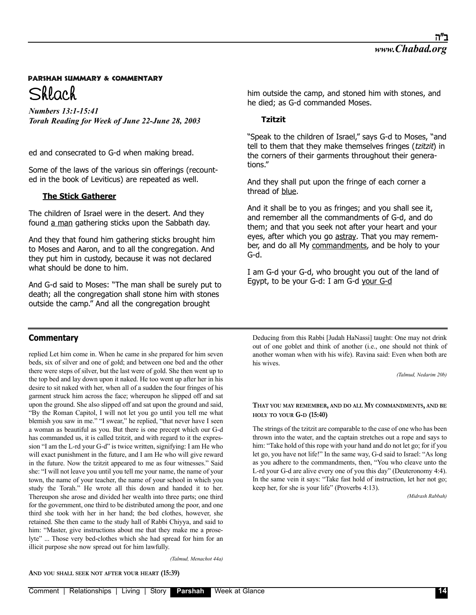

*Numbers 13:1-15:41 Torah Reading for Week of June 22-June 28, 2003*

ed and consecrated to G-d when making bread.

Some of the laws of the various sin offerings (recounted in the book of Leviticus) are repeated as well.

# **The Stick Gatherer**

The children of Israel were in the desert. And they found a man gathering sticks upon the Sabbath day.

And they that found him gathering sticks brought him to Moses and Aaron, and to all the congregation. And they put him in custody, because it was not declared what should be done to him.

And G-d said to Moses: "The man shall be surely put to death; all the congregation shall stone him with stones outside the camp." And all the congregation brought

# **Commentary**

replied Let him come in. When he came in she prepared for him seven beds, six of silver and one of gold; and between one bed and the other there were steps of silver, but the last were of gold. She then went up to the top bed and lay down upon it naked. He too went up after her in his desire to sit naked with her, when all of a sudden the four fringes of his garment struck him across the face; whereupon he slipped off and sat upon the ground. She also slipped off and sat upon the ground and said, "By the Roman Capitol, I will not let you go until you tell me what blemish you saw in me." "I swear," he replied, "that never have I seen a woman as beautiful as you. But there is one precept which our G-d has commanded us, it is called tzitzit, and with regard to it the expression "I am the L-rd your G-d" is twice written, signifying: I am He who will exact punishment in the future, and I am He who will give reward in the future. Now the tzitzit appeared to me as four witnesses." Said she: "I will not leave you until you tell me your name, the name of your town, the name of your teacher, the name of your school in which you study the Torah." He wrote all this down and handed it to her. Thereupon she arose and divided her wealth into three parts; one third for the government, one third to be distributed among the poor, and one third she took with her in her hand; the bed clothes, however, she retained. She then came to the study hall of Rabbi Chiyya, and said to him: "Master, give instructions about me that they make me a proselyte" ... Those very bed-clothes which she had spread for him for an illicit purpose she now spread out for him lawfully.

he died; as G-d commanded Moses. **Tzitzit**

"Speak to the children of Israel," says G-d to Moses, "and tell to them that they make themselves fringes (tzitzit) in the corners of their garments throughout their generations."

him outside the camp, and stoned him with stones, and

And they shall put upon the fringe of each corner a thread of blue.

And it shall be to you as fringes; and you shall see it, and remember all the commandments of G-d, and do them; and that you seek not after your heart and your eyes, after which you go astray. That you may remember, and do all My commandments, and be holy to your G-d.

I am G-d your G-d, who brought you out of the land of Egypt, to be your G-d: I am G-d your G-d

Deducing from this Rabbi [Judah HaNassi] taught: One may not drink out of one goblet and think of another (i.e., one should not think of another woman when with his wife). Ravina said: Even when both are his wives.

*(Talmud, Nedarim 20b)*

### **THAT YOU MAY REMEMBER, AND DO ALL MY COMMANDMENTS, AND BE HOLY TO YOUR G-D (15:40)**

The strings of the tzitzit are comparable to the case of one who has been thrown into the water, and the captain stretches out a rope and says to him: "Take hold of this rope with your hand and do not let go; for if you let go, you have not life!" In the same way, G-d said to Israel: "As long as you adhere to the commandments, then, "You who cleave unto the L-rd your G-d are alive every one of you this day" (Deuteronomy 4:4). In the same vein it says: "Take fast hold of instruction, let her not go; keep her, for she is your life" (Proverbs 4:13).

*(Midrash Rabbah)*

*(Talmud, Menachot 44a)*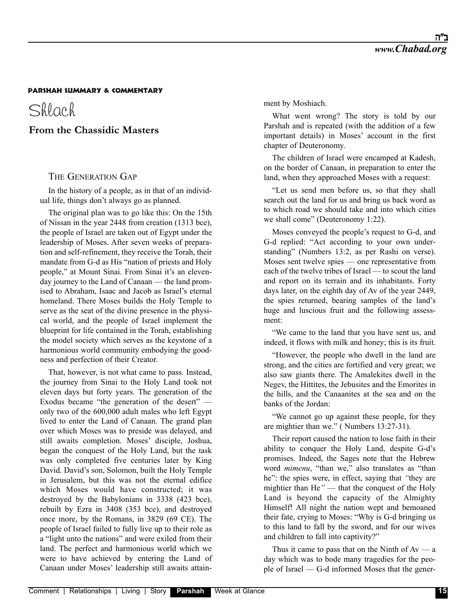# Shlach

# **From the Chassidic Masters**

## THE GENERATION GAP

In the history of a people, as in that of an individual life, things don't always go as planned.

The original plan was to go like this: On the 15th of Nissan in the year 2448 from creation (1313 bce), the people of Israel are taken out of Egypt under the leadership of Moses. After seven weeks of preparation and self-refinement, they receive the Torah, their mandate from G-d as His "nation of priests and Holy people," at Mount Sinai. From Sinai it's an elevenday journey to the Land of Canaan — the land promised to Abraham, Isaac and Jacob as Israel's eternal homeland. There Moses builds the Holy Temple to serve as the seat of the divine presence in the physical world, and the people of Israel implement the blueprint for life contained in the Torah, establishing the model society which serves as the keystone of a harmonious world community embodying the goodness and perfection of their Creator.

That, however, is not what came to pass. Instead, the journey from Sinai to the Holy Land took not eleven days but forty years. The generation of the Exodus became "the generation of the desert" only two of the 600,000 adult males who left Egypt lived to enter the Land of Canaan. The grand plan over which Moses was to preside was delayed, and still awaits completion. Moses' disciple, Joshua, began the conquest of the Holy Land, but the task was only completed five centuries later by King David. David's son, Solomon, built the Holy Temple in Jerusalem, but this was not the eternal edifice which Moses would have constructed; it was destroyed by the Babylonians in 3338 (423 bce), rebuilt by Ezra in 3408 (353 bce), and destroyed once more, by the Romans, in 3829 (69 CE). The people of Israel failed to fully live up to their role as a "light unto the nations" and were exiled from their land. The perfect and harmonious world which we were to have achieved by entering the Land of Canaan under Moses' leadership still awaits attainment by Moshiach.

What went wrong? The story is told by our Parshah and is repeated (with the addition of a few important details) in Moses' account in the first chapter of Deuteronomy.

The children of Israel were encamped at Kadesh, on the border of Canaan, in preparation to enter the land, when they approached Moses with a request:

"Let us send men before us, so that they shall search out the land for us and bring us back word as to which road we should take and into which cities we shall come" (Deuteronomy 1:22).

Moses conveyed the people's request to G-d, and G-d replied: "Act according to your own understanding" (Numbers 13:2, as per Rashi on verse). Moses sent twelve spies — one representative from each of the twelve tribes of Israel — to scout the land and report on its terrain and its inhabitants. Forty days later, on the eighth day of Av of the year 2449, the spies returned, bearing samples of the land's huge and luscious fruit and the following assessment:

"We came to the land that you have sent us, and indeed, it flows with milk and honey; this is its fruit.

"However, the people who dwell in the land are strong, and the cities are fortified and very great; we also saw giants there. The Amalekites dwell in the Negev, the Hittites, the Jebusites and the Emorites in the hills, and the Canaanites at the sea and on the banks of the Jordan:

"We cannot go up against these people, for they are mightier than we." ( Numbers 13:27-31).

Their report caused the nation to lose faith in their ability to conquer the Holy Land, despite G-d's promises. Indeed, the Sages note that the Hebrew word *mimenu*, "than we," also translates as "than he": the spies were, in effect, saying that *"*they are mightier than He*"* — that the conquest of the Holy Land is beyond the capacity of the Almighty Himself! All night the nation wept and bemoaned their fate, crying to Moses: "Why is G-d bringing us to this land to fall by the sword, and for our wives and children to fall into captivity?"

Thus it came to pass that on the Ninth of  $Av - a$ day which was to bode many tragedies for the people of Israel — G-d informed Moses that the gener-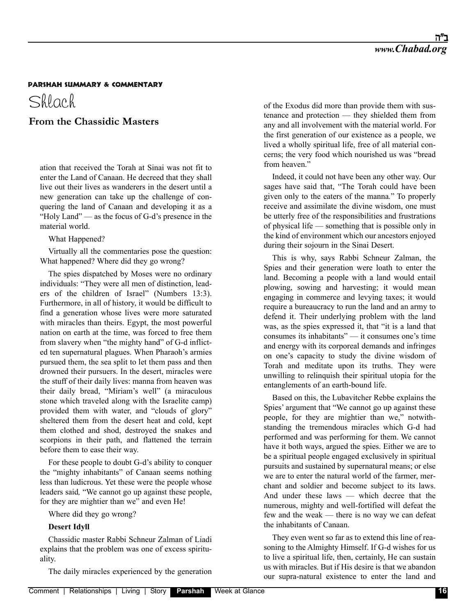Shlach

# **From the Chassidic Masters**

ation that received the Torah at Sinai was not fit to enter the Land of Canaan. He decreed that they shall live out their lives as wanderers in the desert until a new generation can take up the challenge of conquering the land of Canaan and developing it as a "Holy Land" — as the focus of G-d's presence in the material world.

### What Happened?

Virtually all the commentaries pose the question: What happened? Where did they go wrong?

The spies dispatched by Moses were no ordinary individuals: "They were all men of distinction, leaders of the children of Israel" (Numbers 13:3). Furthermore, in all of history, it would be difficult to find a generation whose lives were more saturated with miracles than theirs. Egypt, the most powerful nation on earth at the time, was forced to free them from slavery when "the mighty hand" of G-d inflicted ten supernatural plagues. When Pharaoh's armies pursued them, the sea split to let them pass and then drowned their pursuers. In the desert, miracles were the stuff of their daily lives: manna from heaven was their daily bread, "Miriam's well" (a miraculous stone which traveled along with the Israelite camp) provided them with water, and "clouds of glory" sheltered them from the desert heat and cold, kept them clothed and shod, destroyed the snakes and scorpions in their path, and flattened the terrain before them to ease their way.

For these people to doubt G-d's ability to conquer the "mighty inhabitants" of Canaan seems nothing less than ludicrous. Yet these were the people whose leaders said*,* "We cannot go up against these people, for they are mightier than we" and even He!

Where did they go wrong?

### **Desert Idyll**

Chassidic master Rabbi Schneur Zalman of Liadi explains that the problem was one of excess spirituality.

The daily miracles experienced by the generation

of the Exodus did more than provide them with sustenance and protection — they shielded them from any and all involvement with the material world. For the first generation of our existence as a people, we lived a wholly spiritual life, free of all material concerns; the very food which nourished us was "bread from heaven."

Indeed, it could not have been any other way. Our sages have said that, "The Torah could have been given only to the eaters of the manna*.*" To properly receive and assimilate the divine wisdom, one must be utterly free of the responsibilities and frustrations of physical life — something that is possible only in the kind of environment which our ancestors enjoyed during their sojourn in the Sinai Desert.

This is why, says Rabbi Schneur Zalman, the Spies and their generation were loath to enter the land. Becoming a people with a land would entail plowing, sowing and harvesting; it would mean engaging in commerce and levying taxes; it would require a bureaucracy to run the land and an army to defend it. Their underlying problem with the land was, as the spies expressed it, that "it is a land that consumes its inhabitants" — it consumes one's time and energy with its corporeal demands and infringes on one's capacity to study the divine wisdom of Torah and meditate upon its truths. They were unwilling to relinquish their spiritual utopia for the entanglements of an earth-bound life.

Based on this, the Lubavitcher Rebbe explains the Spies' argument that "We cannot go up against these people, for they are mightier than we," notwithstanding the tremendous miracles which G-d had performed and was performing for them. We cannot have it both ways, argued the spies. Either we are to be a spiritual people engaged exclusively in spiritual pursuits and sustained by supernatural means; or else we are to enter the natural world of the farmer, merchant and soldier and become subject to its laws. And under these laws — which decree that the numerous, mighty and well-fortified will defeat the few and the weak — there is no way we can defeat the inhabitants of Canaan.

They even went so far as to extend this line of reasoning to the Almighty Himself. If G-d wishes for us to live a spiritual life, then, certainly, He can sustain us with miracles. But if His desire is that we abandon our supra-natural existence to enter the land and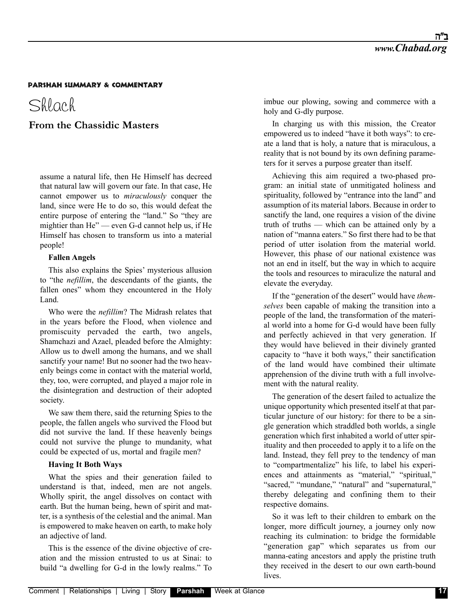Shlach

# **From the Chassidic Masters**

assume a natural life, then He Himself has decreed that natural law will govern our fate. In that case, He cannot empower us to *miraculously* conquer the land, since were He to do so, this would defeat the entire purpose of entering the "land." So "they are mightier than He" — even G-d cannot help us, if He Himself has chosen to transform us into a material people!

#### **Fallen Angels**

This also explains the Spies' mysterious allusion to "the *nefillim*, the descendants of the giants, the fallen ones" whom they encountered in the Holy Land.

Who were the *nefillim*? The Midrash relates that in the years before the Flood, when violence and promiscuity pervaded the earth, two angels, Shamchazi and Azael, pleaded before the Almighty: Allow us to dwell among the humans, and we shall sanctify your name! But no sooner had the two heavenly beings come in contact with the material world, they, too, were corrupted, and played a major role in the disintegration and destruction of their adopted society.

We saw them there, said the returning Spies to the people, the fallen angels who survived the Flood but did not survive the land. If these heavenly beings could not survive the plunge to mundanity, what could be expected of us, mortal and fragile men?

### **Having It Both Ways**

What the spies and their generation failed to understand is that, indeed, men are not angels. Wholly spirit, the angel dissolves on contact with earth. But the human being, hewn of spirit and matter, is a synthesis of the celestial and the animal. Man is empowered to make heaven on earth, to make holy an adjective of land.

This is the essence of the divine objective of creation and the mission entrusted to us at Sinai: to build "a dwelling for G-d in the lowly realms." To imbue our plowing, sowing and commerce with a holy and G-dly purpose.

In charging us with this mission, the Creator empowered us to indeed "have it both ways": to create a land that is holy, a nature that is miraculous, a reality that is not bound by its own defining parameters for it serves a purpose greater than itself.

Achieving this aim required a two-phased program: an initial state of unmitigated holiness and spirituality, followed by "entrance into the land" and assumption of its material labors. Because in order to sanctify the land, one requires a vision of the divine truth of truths — which can be attained only by a nation of "manna eaters." So first there had to be that period of utter isolation from the material world. However, this phase of our national existence was not an end in itself, but the way in which to acquire the tools and resources to miraculize the natural and elevate the everyday.

If the "generation of the desert" would have *themselves* been capable of making the transition into a people of the land, the transformation of the material world into a home for G-d would have been fully and perfectly achieved in that very generation. If they would have believed in their divinely granted capacity to "have it both ways," their sanctification of the land would have combined their ultimate apprehension of the divine truth with a full involvement with the natural reality.

The generation of the desert failed to actualize the unique opportunity which presented itself at that particular juncture of our history: for there to be a single generation which straddled both worlds, a single generation which first inhabited a world of utter spirituality and then proceeded to apply it to a life on the land. Instead, they fell prey to the tendency of man to "compartmentalize" his life, to label his experiences and attainments as "material," "spiritual," "sacred," "mundane," "natural" and "supernatural," thereby delegating and confining them to their respective domains.

So it was left to their children to embark on the longer, more difficult journey, a journey only now reaching its culmination: to bridge the formidable "generation gap" which separates us from our manna-eating ancestors and apply the pristine truth they received in the desert to our own earth-bound lives.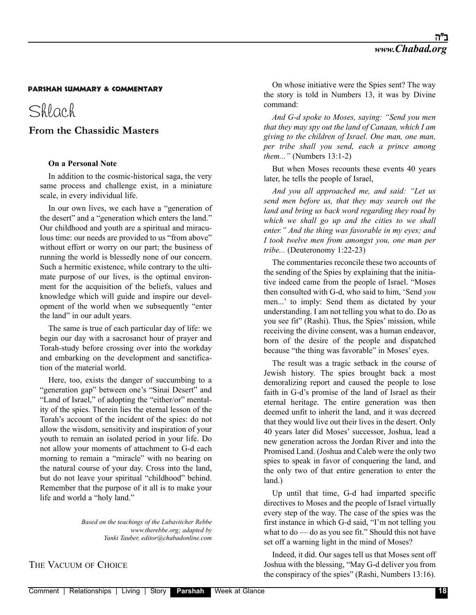# Shlach

# **From the Chassidic Masters**

### **On a Personal Note**

In addition to the cosmic-historical saga, the very same process and challenge exist, in a miniature scale, in every individual life.

In our own lives, we each have a "generation of the desert" and a "generation which enters the land." Our childhood and youth are a spiritual and miraculous time: our needs are provided to us "from above" without effort or worry on our part; the business of running the world is blessedly none of our concern. Such a hermitic existence, while contrary to the ultimate purpose of our lives, is the optimal environment for the acquisition of the beliefs, values and knowledge which will guide and inspire our development of the world when we subsequently "enter the land" in our adult years.

The same is true of each particular day of life: we begin our day with a sacrosanct hour of prayer and Torah-study before crossing over into the workday and embarking on the development and sanctification of the material world.

Here, too, exists the danger of succumbing to a "generation gap" between one's "Sinai Desert" and "Land of Israel," of adopting the "either/or" mentality of the spies. Therein lies the eternal lesson of the Torah's account of the incident of the spies: do not allow the wisdom, sensitivity and inspiration of your youth to remain an isolated period in your life. Do not allow your moments of attachment to G-d each morning to remain a "miracle" with no bearing on the natural course of your day. Cross into the land, but do not leave your spiritual "childhood" behind. Remember that the purpose of it all is to make your life and world a "holy land."

> *Based on the teachings of the Lubavitcher Rebbe www.therebbe.org; adapted by Yanki Tauber, editor@chabadonline.com*

On whose initiative were the Spies sent? The way the story is told in Numbers 13, it was by Divine command:

*And G-d spoke to Moses, saying: "Send you men that they may spy out the land of Canaan, which I am giving to the children of Israel. One man, one man, per tribe shall you send, each a prince among them..."* (Numbers 13:1-2)

But when Moses recounts these events 40 years later, he tells the people of Israel,

*And you all approached me, and said: "Let us send men before us, that they may search out the land and bring us back word regarding they road by which we shall go up and the cities to we shall enter." And the thing was favorable in my eyes; and I took twelve men from amongst you, one man per tribe...* (Deuteronomy 1:22-23)

The commentaries reconcile these two accounts of the sending of the Spies by explaining that the initiative indeed came from the people of Israel. "Moses then consulted with G-d, who said to him, 'Send *you* men...' to imply: Send them as dictated by your understanding. I am not telling you what to do. Do as you see fit" (Rashi). Thus, the Spies' mission, while receiving the divine consent, was a human endeavor, born of the desire of the people and dispatched because "the thing was favorable" in Moses' eyes.

The result was a tragic setback in the course of Jewish history. The spies brought back a most demoralizing report and caused the people to lose faith in G-d's promise of the land of Israel as their eternal heritage. The entire generation was then deemed unfit to inherit the land, and it was decreed that they would live out their lives in the desert. Only 40 years later did Moses' successor, Joshua, lead a new generation across the Jordan River and into the Promised Land. (Joshua and Caleb were the only two spies to speak in favor of conquering the land, and the only two of that entire generation to enter the land.)

Up until that time, G-d had imparted specific directives to Moses and the people of Israel virtually every step of the way. The case of the spies was the first instance in which G-d said, "I'm not telling you what to do — do as you see fit." Should this not have set off a warning light in the mind of Moses?

Indeed, it did. Our sages tell us that Moses sent off Joshua with the blessing, "May G-d deliver you from the conspiracy of the spies" (Rashi, Numbers 13:16).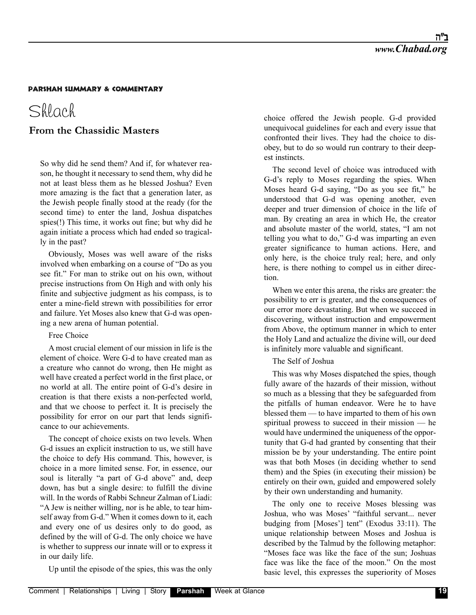# Shlach

# **From the Chassidic Masters**

So why did he send them? And if, for whatever reason, he thought it necessary to send them, why did he not at least bless them as he blessed Joshua? Even more amazing is the fact that a generation later, as the Jewish people finally stood at the ready (for the second time) to enter the land, Joshua dispatches spies(!) This time, it works out fine; but why did he again initiate a process which had ended so tragically in the past?

Obviously, Moses was well aware of the risks involved when embarking on a course of "Do as you see fit." For man to strike out on his own, without precise instructions from On High and with only his finite and subjective judgment as his compass, is to enter a mine-field strewn with possibilities for error and failure. Yet Moses also knew that G-d was opening a new arena of human potential.

## Free Choice

A most crucial element of our mission in life is the element of choice. Were G-d to have created man as a creature who cannot do wrong, then He might as well have created a perfect world in the first place, or no world at all. The entire point of G-d's desire in creation is that there exists a non-perfected world, and that we choose to perfect it. It is precisely the possibility for error on our part that lends significance to our achievements.

The concept of choice exists on two levels. When G-d issues an explicit instruction to us, we still have the choice to defy His command. This, however, is choice in a more limited sense. For, in essence, our soul is literally "a part of G-d above" and, deep down, has but a single desire: to fulfill the divine will. In the words of Rabbi Schneur Zalman of Liadi: "A Jew is neither willing, nor is he able, to tear himself away from G-d." When it comes down to it, each and every one of us desires only to do good, as defined by the will of G-d. The only choice we have is whether to suppress our innate will or to express it in our daily life.

Up until the episode of the spies, this was the only

choice offered the Jewish people. G-d provided unequivocal guidelines for each and every issue that confronted their lives. They had the choice to disobey, but to do so would run contrary to their deepest instincts.

The second level of choice was introduced with G-d's reply to Moses regarding the spies. When Moses heard G-d saying, "Do as you see fit," he understood that G-d was opening another, even deeper and truer dimension of choice in the life of man. By creating an area in which He, the creator and absolute master of the world, states, "I am not telling you what to do," G-d was imparting an even greater significance to human actions. Here, and only here, is the choice truly real; here, and only here, is there nothing to compel us in either direction.

When we enter this arena, the risks are greater: the possibility to err is greater, and the consequences of our error more devastating. But when we succeed in discovering, without instruction and empowerment from Above, the optimum manner in which to enter the Holy Land and actualize the divine will, our deed is infinitely more valuable and significant.

The Self of Joshua

This was why Moses dispatched the spies, though fully aware of the hazards of their mission, without so much as a blessing that they be safeguarded from the pitfalls of human endeavor. Were he to have blessed them — to have imparted to them of his own spiritual prowess to succeed in their mission — he would have undermined the uniqueness of the opportunity that G-d had granted by consenting that their mission be by your understanding. The entire point was that both Moses (in deciding whether to send them) and the Spies (in executing their mission) be entirely on their own, guided and empowered solely by their own understanding and humanity.

The only one to receive Moses blessing was Joshua, who was Moses' "faithful servant... never budging from [Moses'] tent" (Exodus 33:11). The unique relationship between Moses and Joshua is described by the Talmud by the following metaphor: "Moses face was like the face of the sun; Joshuas face was like the face of the moon." On the most basic level, this expresses the superiority of Moses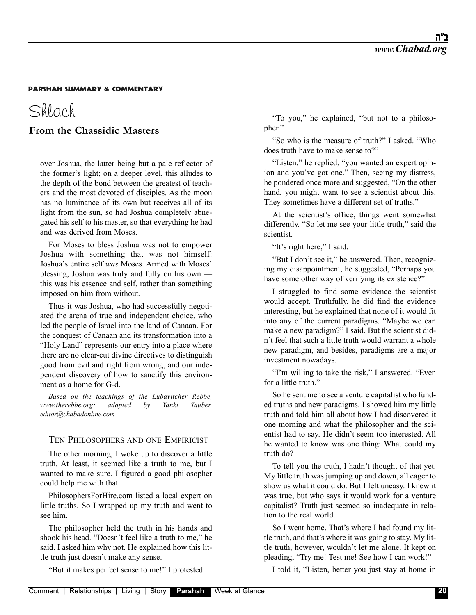# Shlach

# **From the Chassidic Masters**

over Joshua, the latter being but a pale reflector of the former's light; on a deeper level, this alludes to the depth of the bond between the greatest of teachers and the most devoted of disciples. As the moon has no luminance of its own but receives all of its light from the sun, so had Joshua completely abnegated his self to his master, so that everything he had and was derived from Moses.

For Moses to bless Joshua was not to empower Joshua with something that was not himself: Joshua's entire self *was* Moses. Armed with Moses' blessing, Joshua was truly and fully on his own this was his essence and self, rather than something imposed on him from without.

Thus it was Joshua, who had successfully negotiated the arena of true and independent choice, who led the people of Israel into the land of Canaan. For the conquest of Canaan and its transformation into a "Holy Land" represents our entry into a place where there are no clear-cut divine directives to distinguish good from evil and right from wrong, and our independent discovery of how to sanctify this environment as a home for G-d.

*Based on the teachings of the Lubavitcher Rebbe, www.therebbe.org; adapted by Yanki Tauber, editor@chabadonline.com*

## TEN PHILOSOPHERS AND ONE EMPIRICIST

The other morning, I woke up to discover a little truth. At least, it seemed like a truth to me, but I wanted to make sure. I figured a good philosopher could help me with that.

PhilosophersForHire.com listed a local expert on little truths. So I wrapped up my truth and went to see him.

The philosopher held the truth in his hands and shook his head. "Doesn't feel like a truth to me," he said. I asked him why not. He explained how this little truth just doesn't make any sense.

"But it makes perfect sense to me!" I protested.

"To you," he explained, "but not to a philosopher."

"So who is the measure of truth?" I asked. "Who does truth have to make sense to?"

"Listen," he replied, "you wanted an expert opinion and you've got one." Then, seeing my distress, he pondered once more and suggested, "On the other hand, you might want to see a scientist about this. They sometimes have a different set of truths."

At the scientist's office, things went somewhat differently. "So let me see your little truth," said the scientist.

"It's right here," I said.

"But I don't see it," he answered. Then, recognizing my disappointment, he suggested, "Perhaps you have some other way of verifying its existence?"

I struggled to find some evidence the scientist would accept. Truthfully, he did find the evidence interesting, but he explained that none of it would fit into any of the current paradigms. "Maybe we can make a new paradigm?" I said. But the scientist didn't feel that such a little truth would warrant a whole new paradigm, and besides, paradigms are a major investment nowadays.

"I'm willing to take the risk," I answered. "Even for a little truth."

So he sent me to see a venture capitalist who funded truths and new paradigms. I showed him my little truth and told him all about how I had discovered it one morning and what the philosopher and the scientist had to say. He didn't seem too interested. All he wanted to know was one thing: What could my truth do?

To tell you the truth, I hadn't thought of that yet. My little truth was jumping up and down, all eager to show us what it could do. But I felt uneasy. I knew it was true, but who says it would work for a venture capitalist? Truth just seemed so inadequate in relation to the real world.

So I went home. That's where I had found my little truth, and that's where it was going to stay. My little truth, however, wouldn't let me alone. It kept on pleading, "Try me! Test me! See how I can work!"

I told it, "Listen, better you just stay at home in